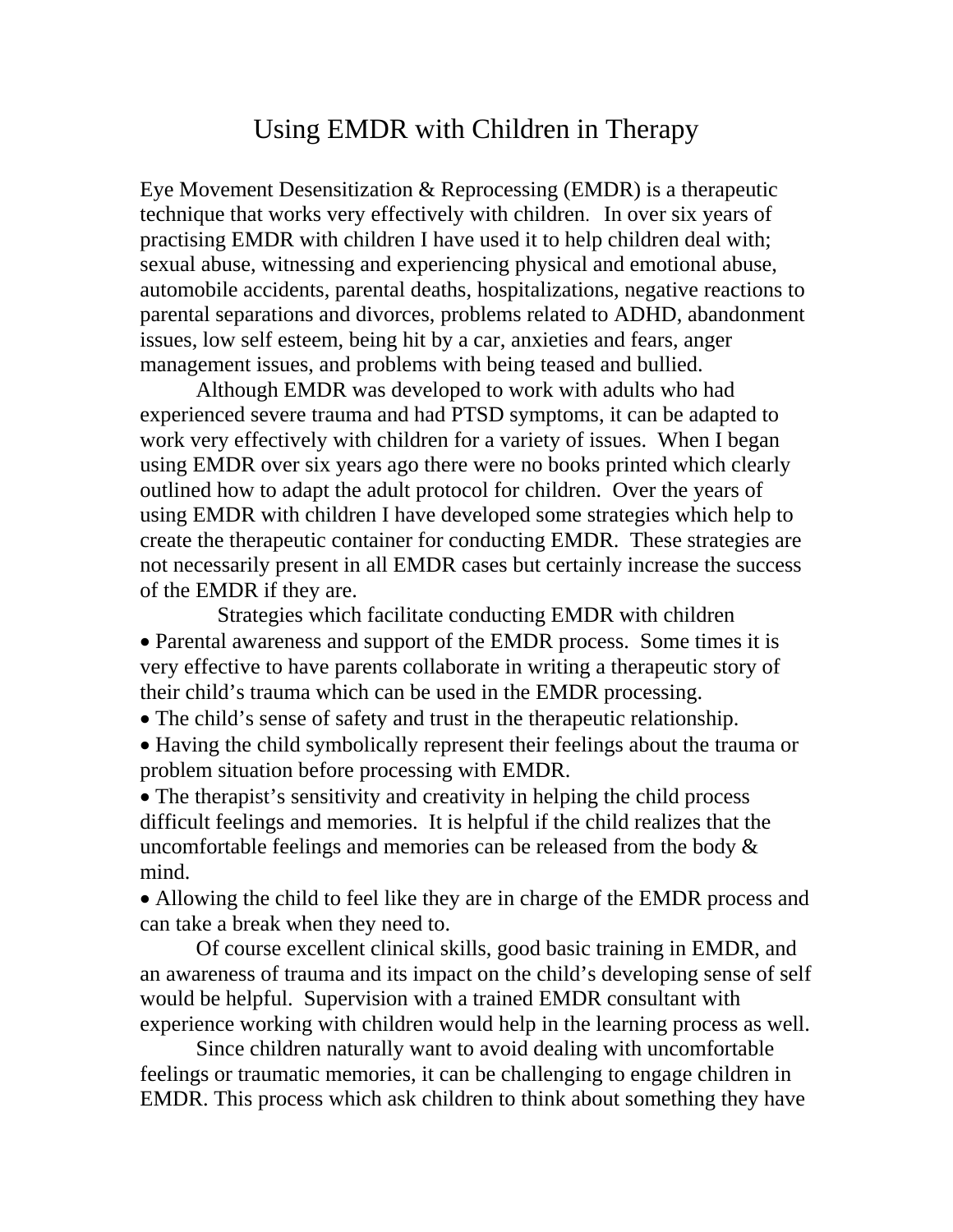## Using EMDR with Children in Therapy

Eye Movement Desensitization & Reprocessing (EMDR) is a therapeutic technique that works very effectively with children. In over six years of practising EMDR with children I have used it to help children deal with; sexual abuse, witnessing and experiencing physical and emotional abuse, automobile accidents, parental deaths, hospitalizations, negative reactions to parental separations and divorces, problems related to ADHD, abandonment issues, low self esteem, being hit by a car, anxieties and fears, anger management issues, and problems with being teased and bullied.

 Although EMDR was developed to work with adults who had experienced severe trauma and had PTSD symptoms, it can be adapted to work very effectively with children for a variety of issues. When I began using EMDR over six years ago there were no books printed which clearly outlined how to adapt the adult protocol for children. Over the years of using EMDR with children I have developed some strategies which help to create the therapeutic container for conducting EMDR. These strategies are not necessarily present in all EMDR cases but certainly increase the success of the EMDR if they are.

Strategies which facilitate conducting EMDR with children • Parental awareness and support of the EMDR process. Some times it is very effective to have parents collaborate in writing a therapeutic story of their child's trauma which can be used in the EMDR processing.

• The child's sense of safety and trust in the therapeutic relationship.

• Having the child symbolically represent their feelings about the trauma or problem situation before processing with EMDR.

• The therapist's sensitivity and creativity in helping the child process difficult feelings and memories. It is helpful if the child realizes that the uncomfortable feelings and memories can be released from the body & mind.

• Allowing the child to feel like they are in charge of the EMDR process and can take a break when they need to.

Of course excellent clinical skills, good basic training in EMDR, and an awareness of trauma and its impact on the child's developing sense of self would be helpful. Supervision with a trained EMDR consultant with experience working with children would help in the learning process as well.

Since children naturally want to avoid dealing with uncomfortable feelings or traumatic memories, it can be challenging to engage children in EMDR. This process which ask children to think about something they have